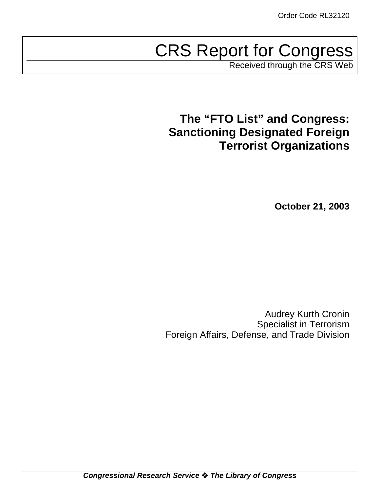# CRS Report for Congress

Received through the CRS Web

# **The "FTO List" and Congress: Sanctioning Designated Foreign Terrorist Organizations**

**October 21, 2003**

Audrey Kurth Cronin Specialist in Terrorism Foreign Affairs, Defense, and Trade Division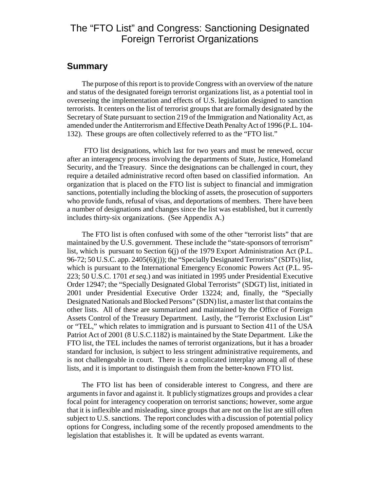## The "FTO List" and Congress: Sanctioning Designated Foreign Terrorist Organizations

#### **Summary**

The purpose of this report is to provide Congress with an overview of the nature and status of the designated foreign terrorist organizations list, as a potential tool in overseeing the implementation and effects of U.S. legislation designed to sanction terrorists. It centers on the list of terrorist groups that are formally designated by the Secretary of State pursuant to section 219 of the Immigration and Nationality Act, as amended under the Antiterrorism and Effective Death Penalty Act of 1996 (P.L. 104- 132). These groups are often collectively referred to as the "FTO list."

 FTO list designations, which last for two years and must be renewed, occur after an interagency process involving the departments of State, Justice, Homeland Security, and the Treasury. Since the designations can be challenged in court, they require a detailed administrative record often based on classified information. An organization that is placed on the FTO list is subject to financial and immigration sanctions, potentially including the blocking of assets, the prosecution of supporters who provide funds, refusal of visas, and deportations of members. There have been a number of designations and changes since the list was established, but it currently includes thirty-six organizations. (See Appendix A.)

The FTO list is often confused with some of the other "terrorist lists" that are maintained by the U.S. government. These include the "state-sponsors of terrorism" list, which is pursuant to Section 6(j) of the 1979 Export Administration Act (P.L. 96-72; 50 U.S.C. app. 2405(6)(j)); the "Specially Designated Terrorists" (SDTs) list, which is pursuant to the International Emergency Economic Powers Act (P.L. 95- 223; 50 U.S.C. 1701 *et seq*.) and was initiated in 1995 under Presidential Executive Order 12947; the "Specially Designated Global Terrorists" (SDGT) list, initiated in 2001 under Presidential Executive Order 13224; and, finally, the "Specially Designated Nationals and Blocked Persons" (SDN) list, a master list that contains the other lists. All of these are summarized and maintained by the Office of Foreign Assets Control of the Treasury Department. Lastly, the "Terrorist Exclusion List" or "TEL," which relates to immigration and is pursuant to Section 411 of the USA Patriot Act of 2001 (8 U.S.C.1182) is maintained by the State Department. Like the FTO list, the TEL includes the names of terrorist organizations, but it has a broader standard for inclusion, is subject to less stringent administrative requirements, and is not challengeable in court. There is a complicated interplay among all of these lists, and it is important to distinguish them from the better-known FTO list.

The FTO list has been of considerable interest to Congress, and there are arguments in favor and against it. It publicly stigmatizes groups and provides a clear focal point for interagency cooperation on terrorist sanctions; however, some argue that it is inflexible and misleading, since groups that are not on the list are still often subject to U.S. sanctions. The report concludes with a discussion of potential policy options for Congress, including some of the recently proposed amendments to the legislation that establishes it. It will be updated as events warrant.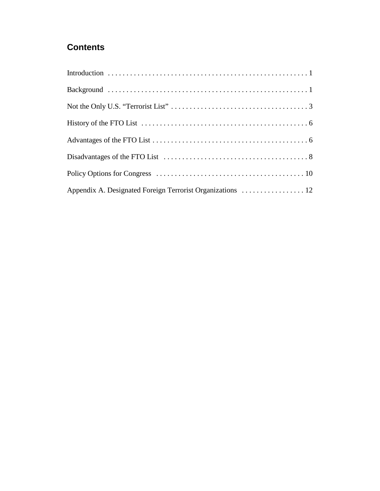## **Contents**

| Appendix A. Designated Foreign Terrorist Organizations  12 |
|------------------------------------------------------------|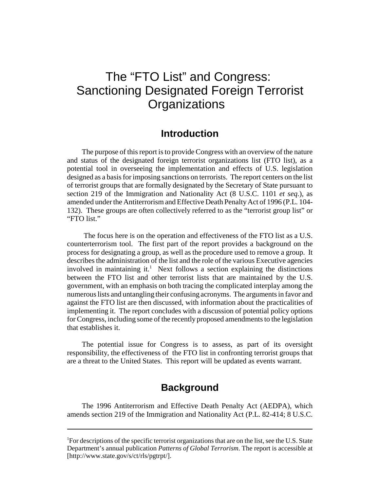# The "FTO List" and Congress: Sanctioning Designated Foreign Terrorist **Organizations**

#### **Introduction**

The purpose of this report is to provide Congress with an overview of the nature and status of the designated foreign terrorist organizations list (FTO list), as a potential tool in overseeing the implementation and effects of U.S. legislation designed as a basis for imposing sanctions on terrorists. The report centers on the list of terrorist groups that are formally designated by the Secretary of State pursuant to section 219 of the Immigration and Nationality Act (8 U.S.C. 1101 *et seq*.), as amended under the Antiterrorism and Effective Death Penalty Act of 1996 (P.L. 104- 132). These groups are often collectively referred to as the "terrorist group list" or "FTO list."

 The focus here is on the operation and effectiveness of the FTO list as a U.S. counterterrorism tool. The first part of the report provides a background on the process for designating a group, as well as the procedure used to remove a group. It describes the administration of the list and the role of the various Executive agencies involved in maintaining it.<sup>1</sup> Next follows a section explaining the distinctions between the FTO list and other terrorist lists that are maintained by the U.S. government, with an emphasis on both tracing the complicated interplay among the numerous lists and untangling their confusing acronyms. The arguments in favor and against the FTO list are then discussed, with information about the practicalities of implementing it. The report concludes with a discussion of potential policy options for Congress, including some of the recently proposed amendments to the legislation that establishes it.

The potential issue for Congress is to assess, as part of its oversight responsibility, the effectiveness of the FTO list in confronting terrorist groups that are a threat to the United States. This report will be updated as events warrant.

#### **Background**

The 1996 Antiterrorism and Effective Death Penalty Act (AEDPA), which amends section 219 of the Immigration and Nationality Act (P.L. 82-414; 8 U.S.C.

<sup>&</sup>lt;sup>1</sup>For descriptions of the specific terrorist organizations that are on the list, see the U.S. State Department's annual publication *Patterns of Global Terrorism*. The report is accessible at [http://www.state.gov/s/ct/rls/pgtrpt/].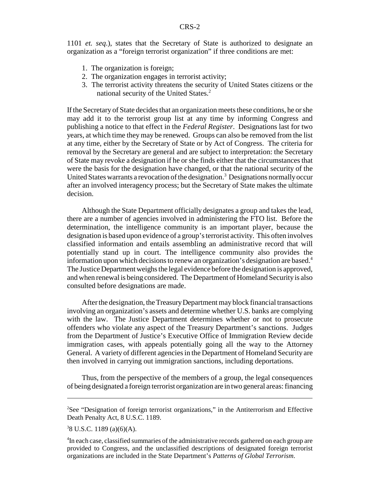1101 *et. seq*.), states that the Secretary of State is authorized to designate an organization as a "foreign terrorist organization" if three conditions are met:

- 1. The organization is foreign;
- 2. The organization engages in terrorist activity;
- 3. The terrorist activity threatens the security of United States citizens or the national security of the United States.<sup>2</sup>

If the Secretary of State decides that an organization meets these conditions, he or she may add it to the terrorist group list at any time by informing Congress and publishing a notice to that effect in the *Federal Register*. Designations last for two years, at which time they may be renewed. Groups can also be removed from the list at any time, either by the Secretary of State or by Act of Congress. The criteria for removal by the Secretary are general and are subject to interpretation: the Secretary of State may revoke a designation if he or she finds either that the circumstances that were the basis for the designation have changed, or that the national security of the United States warrants a revocation of the designation.<sup>3</sup> Designations normally occur after an involved interagency process; but the Secretary of State makes the ultimate decision.

Although the State Department officially designates a group and takes the lead, there are a number of agencies involved in administering the FTO list. Before the determination, the intelligence community is an important player, because the designation is based upon evidence of a group's terrorist activity. This often involves classified information and entails assembling an administrative record that will potentially stand up in court. The intelligence community also provides the information upon which decisions to renew an organization's designation are based.<sup>4</sup> The Justice Department weighs the legal evidence before the designation is approved, and when renewal is being considered. The Department of Homeland Security is also consulted before designations are made.

After the designation, the Treasury Department may block financial transactions involving an organization's assets and determine whether U.S. banks are complying with the law. The Justice Department determines whether or not to prosecute offenders who violate any aspect of the Treasury Department's sanctions. Judges from the Department of Justice's Executive Office of Immigration Review decide immigration cases, with appeals potentially going all the way to the Attorney General. A variety of different agencies in the Department of Homeland Security are then involved in carrying out immigration sanctions, including deportations.

Thus, from the perspective of the members of a group, the legal consequences of being designated a foreign terrorist organization are in two general areas: financing

<sup>&</sup>lt;sup>2</sup>See "Designation of foreign terrorist organizations," in the Antiterrorism and Effective Death Penalty Act, 8 U.S.C. 1189.

<sup>3</sup> 8 U.S.C. 1189 (a)(6)(A).

<sup>&</sup>lt;sup>4</sup>In each case, classified summaries of the administrative records gathered on each group are provided to Congress, and the unclassified descriptions of designated foreign terrorist organizations are included in the State Department's *Patterns of Global Terrorism*.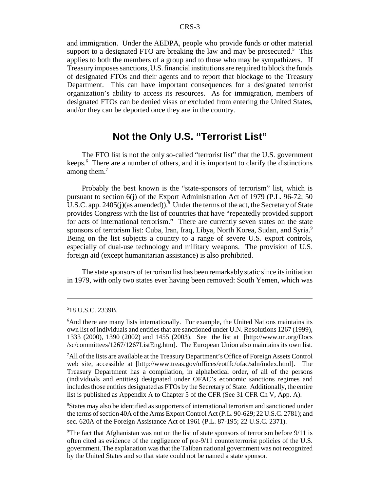and immigration. Under the AEDPA, people who provide funds or other material support to a designated FTO are breaking the law and may be prosecuted. $5$  This applies to both the members of a group and to those who may be sympathizers. If Treasury imposes sanctions, U.S. financial institutions are required to block the funds of designated FTOs and their agents and to report that blockage to the Treasury Department. This can have important consequences for a designated terrorist organization's ability to access its resources. As for immigration, members of designated FTOs can be denied visas or excluded from entering the United States, and/or they can be deported once they are in the country.

#### **Not the Only U.S. "Terrorist List"**

The FTO list is not the only so-called "terrorist list" that the U.S. government keeps.<sup>6</sup> There are a number of others, and it is important to clarify the distinctions among them.<sup>7</sup>

Probably the best known is the "state-sponsors of terrorism" list, which is pursuant to section 6(j) of the Export Administration Act of 1979 (P.L. 96-72; 50 U.S.C. app. 2405(j)(as amended)).<sup>8</sup> Under the terms of the act, the Secretary of State provides Congress with the list of countries that have "repeatedly provided support for acts of international terrorism." There are currently seven states on the state sponsors of terrorism list: Cuba, Iran, Iraq, Libya, North Korea, Sudan, and Syria.<sup>9</sup> Being on the list subjects a country to a range of severe U.S. export controls, especially of dual-use technology and military weapons. The provision of U.S. foreign aid (except humanitarian assistance) is also prohibited.

The state sponsors of terrorism list has been remarkably static since its initiation in 1979, with only two states ever having been removed: South Yemen, which was

<sup>8</sup>States may also be identified as supporters of international terrorism and sanctioned under the terms of section 40A of the Arms Export Control Act (P.L. 90-629; 22 U.S.C. 2781); and sec. 620A of the Foreign Assistance Act of 1961 (P.L. 87-195; 22 U.S.C. 2371).

<sup>5</sup> 18 U.S.C. 2339B.

<sup>&</sup>lt;sup>6</sup>And there are many lists internationally. For example, the United Nations maintains its own list of individuals and entities that are sanctioned under U.N. Resolutions 1267 (1999), 1333 (2000), 1390 (2002) and 1455 (2003). See the list at [http://www.un.org/Docs /sc/committees/1267/1267ListEng.htm]. The European Union also maintains its own list.

<sup>&</sup>lt;sup>7</sup>All of the lists are available at the Treasury Department's Office of Foreign Assets Control web site, accessible at [http://www.treas.gov/offices/eotffc/ofac/sdn/index.html]. The Treasury Department has a compilation, in alphabetical order, of all of the persons (individuals and entities) designated under OFAC's economic sanctions regimes and includes those entities designated as FTOs by the Secretary of State. Additionally, the entire list is published as Appendix A to Chapter 5 of the CFR (See 31 CFR Ch V, App. A).

<sup>&</sup>lt;sup>9</sup>The fact that Afghanistan was not on the list of state sponsors of terrorism before 9/11 is often cited as evidence of the negligence of pre-9/11 counterterrorist policies of the U.S. government. The explanation was that the Taliban national government was not recognized by the United States and so that state could not be named a state sponsor.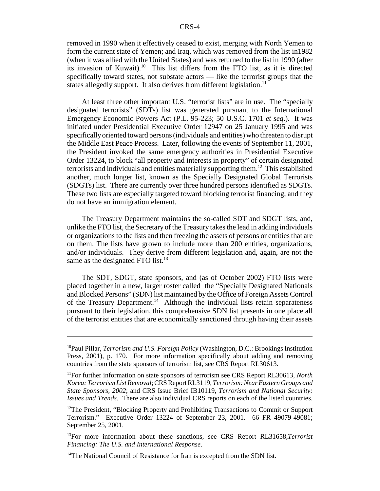removed in 1990 when it effectively ceased to exist, merging with North Yemen to form the current state of Yemen; and Iraq, which was removed from the list in1982 (when it was allied with the United States) and was returned to the list in 1990 (after its invasion of Kuwait).<sup>10</sup> This list differs from the FTO list, as it is directed specifically toward states, not substate actors — like the terrorist groups that the states allegedly support. It also derives from different legislation.<sup>11</sup>

At least three other important U.S. "terrorist lists" are in use. The "specially designated terrorists" (SDTs) list was generated pursuant to the International Emergency Economic Powers Act (P.L. 95-223; 50 U.S.C. 1701 *et seq*.). It was initiated under Presidential Executive Order 12947 on 25 January 1995 and was specifically oriented toward persons (individuals and entities) who threaten to disrupt the Middle East Peace Process. Later, following the events of September 11, 2001, the President invoked the same emergency authorities in Presidential Executive Order 13224, to block "all property and interests in property" of certain designated terrorists and individuals and entities materially supporting them.12 This established another, much longer list, known as the Specially Designated Global Terrorists (SDGTs) list. There are currently over three hundred persons identified as SDGTs. These two lists are especially targeted toward blocking terrorist financing, and they do not have an immigration element.

The Treasury Department maintains the so-called SDT and SDGT lists, and, unlike the FTO list, the Secretary of the Treasury takes the lead in adding individuals or organizations to the lists and then freezing the assets of persons or entities that are on them. The lists have grown to include more than 200 entities, organizations, and/or individuals. They derive from different legislation and, again, are not the same as the designated FTO list.<sup>13</sup>

The SDT, SDGT, state sponsors, and (as of October 2002) FTO lists were placed together in a new, larger roster called the "Specially Designated Nationals and Blocked Persons" (SDN) list maintained by the Office of Foreign Assets Control of the Treasury Department.<sup>14</sup> Although the individual lists retain separateness pursuant to their legislation, this comprehensive SDN list presents in one place all of the terrorist entities that are economically sanctioned through having their assets

<sup>10</sup>Paul Pillar, *Terrorism and U.S. Foreign Policy* (Washington, D.C.: Brookings Institution Press, 2001), p. 170. For more information specifically about adding and removing countries from the state sponsors of terrorism list, see CRS Report RL30613.

<sup>11</sup>For further information on state sponsors of terrorism see CRS Report RL30613, *North Korea: Terrorism List Removal*; CRS Report RL3119, *Terrorism: Near Eastern Groups and State Sponsors, 2002*; and CRS Issue Brief IB10119, *Terrorism and National Security: Issues and Trends*. There are also individual CRS reports on each of the listed countries.

 $12$ The President, "Blocking Property and Prohibiting Transactions to Commit or Support Terrorism." Executive Order 13224 of September 23, 2001. 66 FR 49079-49081; September 25, 2001.

<sup>13</sup>For more information about these sanctions, see CRS Report RL31658,*Terrorist Financing: The U.S. and International Response*.

<sup>&</sup>lt;sup>14</sup>The National Council of Resistance for Iran is excepted from the SDN list.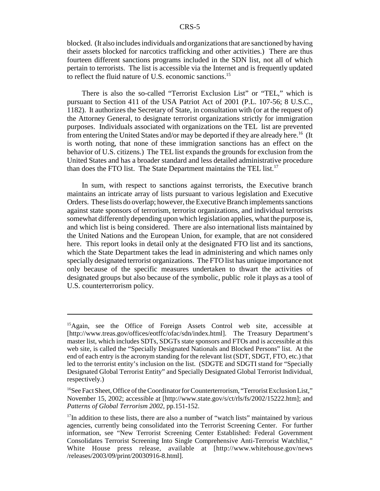blocked. (It also includes individuals and organizations that are sanctioned by having their assets blocked for narcotics trafficking and other activities.) There are thus fourteen different sanctions programs included in the SDN list, not all of which pertain to terrorists. The list is accessible via the Internet and is frequently updated to reflect the fluid nature of U.S. economic sanctions.<sup>15</sup>

There is also the so-called "Terrorist Exclusion List" or "TEL," which is pursuant to Section 411 of the USA Patriot Act of 2001 (P.L. 107-56; 8 U.S.C., 1182). It authorizes the Secretary of State, in consultation with (or at the request of) the Attorney General, to designate terrorist organizations strictly for immigration purposes. Individuals associated with organizations on the TEL list are prevented from entering the United States and/or may be deported if they are already here.<sup>16</sup> (It is worth noting, that none of these immigration sanctions has an effect on the behavior of U.S. citizens.) The TEL list expands the grounds for exclusion from the United States and has a broader standard and less detailed administrative procedure than does the FTO list. The State Department maintains the TEL list.<sup>17</sup>

In sum, with respect to sanctions against terrorists, the Executive branch maintains an intricate array of lists pursuant to various legislation and Executive Orders. These lists do overlap; however, the Executive Branch implements sanctions against state sponsors of terrorism, terrorist organizations, and individual terrorists somewhat differently depending upon which legislation applies, what the purpose is, and which list is being considered. There are also international lists maintained by the United Nations and the European Union, for example, that are not considered here. This report looks in detail only at the designated FTO list and its sanctions, which the State Department takes the lead in administering and which names only specially designated terrorist organizations. The FTO list has unique importance not only because of the specific measures undertaken to thwart the activities of designated groups but also because of the symbolic, public role it plays as a tool of U.S. counterterrorism policy.

<sup>&</sup>lt;sup>15</sup>Again, see the Office of Foreign Assets Control web site, accessible at [http://www.treas.gov/offices/eotffc/ofac/sdn/index.html]. The Treasury Department's master list, which includes SDTs, SDGTs state sponsors and FTOs and is accessible at this web site, is called the "Specially Designated Nationals and Blocked Persons" list. At the end of each entry is the acronym standing for the relevant list (SDT, SDGT, FTO, etc.) that led to the terrorist entity's inclusion on the list. (SDGTE and SDGTI stand for "Specially Designated Global Terrorist Entity" and Specially Designated Global Terrorist Individual, respectively.)

 $16$ See Fact Sheet, Office of the Coordinator for Counterterrorism, "Terrorist Exclusion List," November 15, 2002; accessible at [http://www.state.gov/s/ct/rls/fs/2002/15222.htm]; and *Patterns of Global Terrorism 2002*, pp.151-152.

 $17$ In addition to these lists, there are also a number of "watch lists" maintained by various agencies, currently being consolidated into the Terrorist Screening Center. For further information, see "New Terrorist Screening Center Established: Federal Government Consolidates Terrorist Screening Into Single Comprehensive Anti-Terrorist Watchlist," White House press release, available at [http://www.whitehouse.gov/news /releases/2003/09/print/20030916-8.html].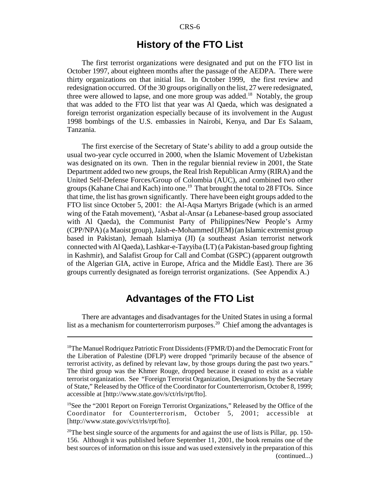#### **History of the FTO List**

The first terrorist organizations were designated and put on the FTO list in October 1997, about eighteen months after the passage of the AEDPA. There were thirty organizations on that initial list. In October 1999, the first review and redesignation occurred. Of the 30 groups originally on the list, 27 were redesignated, three were allowed to lapse, and one more group was added.<sup>18</sup> Notably, the group that was added to the FTO list that year was Al Qaeda, which was designated a foreign terrorist organization especially because of its involvement in the August 1998 bombings of the U.S. embassies in Nairobi, Kenya, and Dar Es Salaam, Tanzania.

The first exercise of the Secretary of State's ability to add a group outside the usual two-year cycle occurred in 2000, when the Islamic Movement of Uzbekistan was designated on its own. Then in the regular biennial review in 2001, the State Department added two new groups, the Real Irish Republican Army (RIRA) and the United Self-Defense Forces/Group of Colombia (AUC), and combined two other groups (Kahane Chai and Kach) into one.<sup>19</sup> That brought the total to 28 FTOs. Since that time, the list has grown significantly. There have been eight groups added to the FTO list since October 5, 2001: the Al-Aqsa Martyrs Brigade (which is an armed wing of the Fatah movement), 'Asbat al-Ansar (a Lebanese-based group associated with Al Qaeda), the Communist Party of Philippines/New People's Army (CPP/NPA) (a Maoist group), Jaish-e-Mohammed (JEM) (an Islamic extremist group based in Pakistan), Jemaah Islamiya (JI) (a southeast Asian terrorist network connected with Al Qaeda), Lashkar-e-Tayyiba (LT) (a Pakistan-based group fighting in Kashmir), and Salafist Group for Call and Combat (GSPC) (apparent outgrowth of the Algerian GIA, active in Europe, Africa and the Middle East). There are 36 groups currently designated as foreign terrorist organizations. (See Appendix A.)

#### **Advantages of the FTO List**

There are advantages and disadvantages for the United States in using a formal list as a mechanism for counterterrorism purposes.<sup>20</sup> Chief among the advantages is

<sup>&</sup>lt;sup>18</sup>The Manuel Rodriquez Patriotic Front Dissidents (FPMR/D) and the Democratic Front for the Liberation of Palestine (DFLP) were dropped "primarily because of the absence of terrorist activity, as defined by relevant law, by those groups during the past two years." The third group was the Khmer Rouge, dropped because it ceased to exist as a viable terrorist organization. See "Foreign Terrorist Organization, Designations by the Secretary of State," Released by the Office of the Coordinator for Counterterrorism, October 8, 1999; accessible at [http://www.state.gov/s/ct/rls/rpt/fto].

<sup>&</sup>lt;sup>19</sup>See the "2001 Report on Foreign Terrorist Organizations," Released by the Office of the Coordinator for Counterterrorism, October 5, 2001; accessible at [http://www.state.gov/s/ct/rls/rpt/fto].

<sup>&</sup>lt;sup>20</sup>The best single source of the arguments for and against the use of lists is Pillar, pp. 150-156. Although it was published before September 11, 2001, the book remains one of the best sources of information on this issue and was used extensively in the preparation of this (continued...)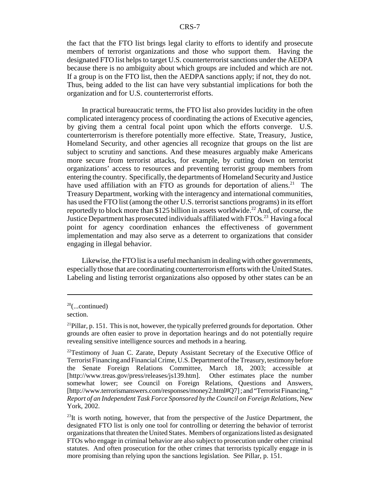the fact that the FTO list brings legal clarity to efforts to identify and prosecute members of terrorist organizations and those who support them. Having the designated FTO list helps to target U.S. counterterrorist sanctions under the AEDPA because there is no ambiguity about which groups are included and which are not. If a group is on the FTO list, then the AEDPA sanctions apply; if not, they do not. Thus, being added to the list can have very substantial implications for both the organization and for U.S. counterterrorist efforts.

In practical bureaucratic terms, the FTO list also provides lucidity in the often complicated interagency process of coordinating the actions of Executive agencies, by giving them a central focal point upon which the efforts converge. U.S. counterterrorism is therefore potentially more effective. State, Treasury, Justice, Homeland Security, and other agencies all recognize that groups on the list are subject to scrutiny and sanctions. And these measures arguably make Americans more secure from terrorist attacks, for example, by cutting down on terrorist organizations' access to resources and preventing terrorist group members from entering the country. Specifically, the departments of Homeland Security and Justice have used affiliation with an FTO as grounds for deportation of aliens.<sup>21</sup> The Treasury Department, working with the interagency and international communities, has used the FTO list (among the other U.S. terrorist sanctions programs) in its effort reportedly to block more than \$125 billion in assets worldwide.<sup>22</sup> And, of course, the Justice Department has prosecuted individuals affiliated with FTOs.<sup>23</sup> Having a focal point for agency coordination enhances the effectiveness of government implementation and may also serve as a deterrent to organizations that consider engaging in illegal behavior.

Likewise, the FTO list is a useful mechanism in dealing with other governments, especially those that are coordinating counterterrorism efforts with the United States. Labeling and listing terrorist organizations also opposed by other states can be an

 $20$ (...continued)

section.

 $^{21}$ Pillar, p. 151. This is not, however, the typically preferred grounds for deportation. Other grounds are often easier to prove in deportation hearings and do not potentially require revealing sensitive intelligence sources and methods in a hearing.

 $22$ Testimony of Juan C. Zarate, Deputy Assistant Secretary of the Executive Office of Terrorist Financing and Financial Crime, U.S. Department of the Treasury, testimony before the Senate Foreign Relations Committee, March 18, 2003; accessible at [http://www.treas.gov/press/releases/js139.htm]. Other estimates place the number somewhat lower; see Council on Foreign Relations, Questions and Answers, [http://www.terrorismanswers.com/responses/money2.html#Q7] ; and "Terrorist Financing," *Report of an Independent Task Force Sponsored by the Council on Foreign Relations*, New York, 2002.

 $^{23}$ It is worth noting, however, that from the perspective of the Justice Department, the designated FTO list is only one tool for controlling or deterring the behavior of terrorist organizations that threaten the United States. Members of organizations listed as designated FTOs who engage in criminal behavior are also subject to prosecution under other criminal statutes. And often prosecution for the other crimes that terrorists typically engage in is more promising than relying upon the sanctions legislation. See Pillar, p. 151.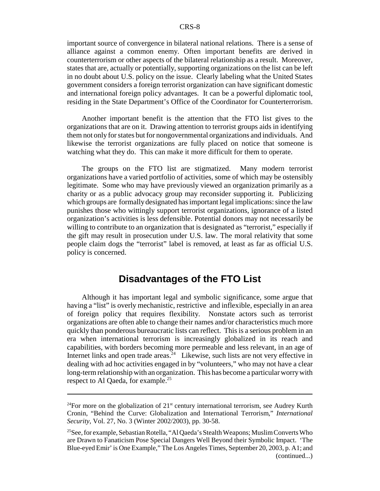important source of convergence in bilateral national relations. There is a sense of alliance against a common enemy. Often important benefits are derived in counterterrorism or other aspects of the bilateral relationship as a result. Moreover, states that are, actually or potentially, supporting organizations on the list can be left in no doubt about U.S. policy on the issue. Clearly labeling what the United States government considers a foreign terrorist organization can have significant domestic and international foreign policy advantages. It can be a powerful diplomatic tool, residing in the State Department's Office of the Coordinator for Counterterrorism.

Another important benefit is the attention that the FTO list gives to the organizations that are on it. Drawing attention to terrorist groups aids in identifying them not only for states but for nongovernmental organizations and individuals. And likewise the terrorist organizations are fully placed on notice that someone is watching what they do. This can make it more difficult for them to operate.

The groups on the FTO list are stigmatized. Many modern terrorist organizations have a varied portfolio of activities, some of which may be ostensibly legitimate. Some who may have previously viewed an organization primarily as a charity or as a public advocacy group may reconsider supporting it. Publicizing which groups are formally designated has important legal implications: since the law punishes those who wittingly support terrorist organizations, ignorance of a listed organization's activities is less defensible. Potential donors may not necessarily be willing to contribute to an organization that is designated as "terrorist," especially if the gift may result in prosecution under U.S. law. The moral relativity that some people claim dogs the "terrorist" label is removed, at least as far as official U.S. policy is concerned.

#### **Disadvantages of the FTO List**

Although it has important legal and symbolic significance, some argue that having a "list" is overly mechanistic, restrictive and inflexible, especially in an area of foreign policy that requires flexibility. Nonstate actors such as terrorist organizations are often able to change their names and/or characteristics much more quickly than ponderous bureaucratic lists can reflect. This is a serious problem in an era when international terrorism is increasingly globalized in its reach and capabilities, with borders becoming more permeable and less relevant, in an age of Internet links and open trade areas.<sup>24</sup> Likewise, such lists are not very effective in dealing with ad hoc activities engaged in by "volunteers," who may not have a clear long-term relationship with an organization. This has become a particular worry with respect to Al Qaeda, for example.<sup>25</sup>

<sup>&</sup>lt;sup>24</sup>For more on the globalization of  $21<sup>st</sup>$  century international terrorism, see Audrey Kurth Cronin, "Behind the Curve: Globalization and International Terrorism," *International Security*, Vol. 27, No. 3 (Winter 2002/2003), pp. 30-58.

<sup>&</sup>lt;sup>25</sup>See, for example, Sebastian Rotella, "Al Qaeda's Stealth Weapons; Muslim Converts Who are Drawn to Fanaticism Pose Special Dangers Well Beyond their Symbolic Impact. 'The Blue-eyed Emir' is One Example," The Los Angeles Times, September 20, 2003, p. A1; and (continued...)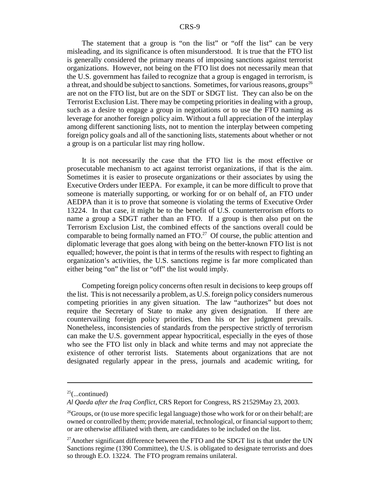The statement that a group is "on the list" or "off the list" can be very misleading, and its significance is often misunderstood. It is true that the FTO list is generally considered the primary means of imposing sanctions against terrorist organizations. However, not being on the FTO list does not necessarily mean that the U.S. government has failed to recognize that a group is engaged in terrorism, is a threat, and should be subject to sanctions. Sometimes, for various reasons, groups<sup>26</sup> are not on the FTO list, but are on the SDT or SDGT list. They can also be on the Terrorist Exclusion List. There may be competing priorities in dealing with a group, such as a desire to engage a group in negotiations or to use the FTO naming as leverage for another foreign policy aim. Without a full appreciation of the interplay among different sanctioning lists, not to mention the interplay between competing foreign policy goals and all of the sanctioning lists, statements about whether or not a group is on a particular list may ring hollow.

It is not necessarily the case that the FTO list is the most effective or prosecutable mechanism to act against terrorist organizations, if that is the aim. Sometimes it is easier to prosecute organizations or their associates by using the Executive Orders under IEEPA. For example, it can be more difficult to prove that someone is materially supporting, or working for or on behalf of, an FTO under AEDPA than it is to prove that someone is violating the terms of Executive Order 13224. In that case, it might be to the benefit of U.S. counterterrorism efforts to name a group a SDGT rather than an FTO. If a group is then also put on the Terrorism Exclusion List, the combined effects of the sanctions overall could be comparable to being formally named an FTO.<sup>27</sup> Of course, the public attention and diplomatic leverage that goes along with being on the better-known FTO list is not equalled; however, the point is that in terms of the results with respect to fighting an organization's activities, the U.S. sanctions regime is far more complicated than either being "on" the list or "off" the list would imply.

Competing foreign policy concerns often result in decisions to keep groups off the list. This is not necessarily a problem, as U.S. foreign policy considers numerous competing priorities in any given situation. The law "authorizes" but does not require the Secretary of State to make any given designation. If there are countervailing foreign policy priorities, then his or her judgment prevails. Nonetheless, inconsistencies of standards from the perspective strictly of terrorism can make the U.S. government appear hypocritical, especially in the eyes of those who see the FTO list only in black and white terms and may not appreciate the existence of other terrorist lists. Statements about organizations that are not designated regularly appear in the press, journals and academic writing, for

 $25$ (...continued)

*Al Qaeda after the Iraq Conflict*, CRS Report for Congress, RS 21529May 23, 2003.

<sup>&</sup>lt;sup>26</sup>Groups, or (to use more specific legal language) those who work for or on their behalf; are owned or controlled by them; provide material, technological, or financial support to them; or are otherwise affiliated with them, are candidates to be included on the list.

 $^{27}$ Another significant difference between the FTO and the SDGT list is that under the UN Sanctions regime (1390 Committee), the U.S. is obligated to designate terrorists and does so through E.O. 13224. The FTO program remains unilateral.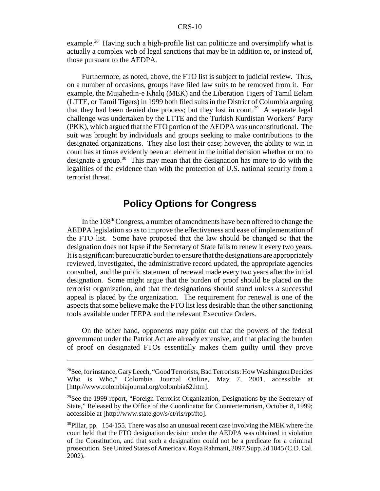example.<sup>28</sup> Having such a high-profile list can politicize and oversimplify what is actually a complex web of legal sanctions that may be in addition to, or instead of, those pursuant to the AEDPA.

Furthermore, as noted, above, the FTO list is subject to judicial review. Thus, on a number of occasions, groups have filed law suits to be removed from it. For example, the Mujahedin-e Khalq (MEK) and the Liberation Tigers of Tamil Eelam (LTTE, or Tamil Tigers) in 1999 both filed suits in the District of Columbia arguing that they had been denied due process; but they lost in court.<sup>29</sup> A separate legal challenge was undertaken by the LTTE and the Turkish Kurdistan Workers' Party (PKK), which argued that the FTO portion of the AEDPA was unconstitutional. The suit was brought by individuals and groups seeking to make contributions to the designated organizations. They also lost their case; however, the ability to win in court has at times evidently been an element in the initial decision whether or not to designate a group.30 This may mean that the designation has more to do with the legalities of the evidence than with the protection of U.S. national security from a terrorist threat.

#### **Policy Options for Congress**

In the  $108<sup>th</sup>$  Congress, a number of amendments have been offered to change the AEDPA legislation so as to improve the effectiveness and ease of implementation of the FTO list. Some have proposed that the law should be changed so that the designation does not lapse if the Secretary of State fails to renew it every two years. It is a significant bureaucratic burden to ensure that the designations are appropriately reviewed, investigated, the administrative record updated, the appropriate agencies consulted, and the public statement of renewal made every two years after the initial designation. Some might argue that the burden of proof should be placed on the terrorist organization, and that the designations should stand unless a successful appeal is placed by the organization. The requirement for renewal is one of the aspects that some believe make the FTO list less desirable than the other sanctioning tools available under IEEPA and the relevant Executive Orders.

On the other hand, opponents may point out that the powers of the federal government under the Patriot Act are already extensive, and that placing the burden of proof on designated FTOs essentially makes them guilty until they prove

<sup>&</sup>lt;sup>28</sup>See, for instance, Gary Leech, "Good Terrorists, Bad Terrorists: How Washington Decides Who is Who," Colombia Journal Online, May 7, 2001, accessible at [http://www.colombiajournal.org/colombia62.htm].

<sup>&</sup>lt;sup>29</sup>See the 1999 report, "Foreign Terrorist Organization, Designations by the Secretary of State," Released by the Office of the Coordinator for Counterterrorism, October 8, 1999; accessible at [http://www.state.gov/s/ct/rls/rpt/fto].

 $30$ Pillar, pp. 154-155. There was also an unusual recent case involving the MEK where the court held that the FTO designation decision under the AEDPA was obtained in violation of the Constitution, and that such a designation could not be a predicate for a criminal prosecution. See United States of America v. Roya Rahmani, 2097.Supp.2d 1045 (C.D. Cal. 2002).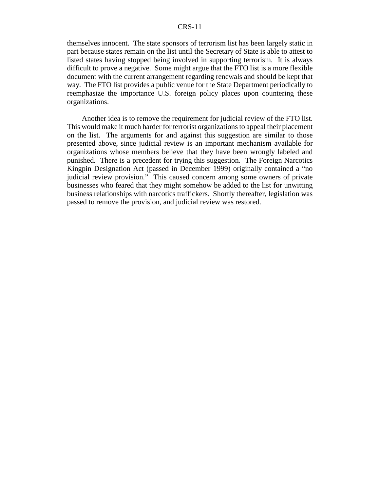#### CRS-11

themselves innocent. The state sponsors of terrorism list has been largely static in part because states remain on the list until the Secretary of State is able to attest to listed states having stopped being involved in supporting terrorism. It is always difficult to prove a negative. Some might argue that the FTO list is a more flexible document with the current arrangement regarding renewals and should be kept that way. The FTO list provides a public venue for the State Department periodically to reemphasize the importance U.S. foreign policy places upon countering these organizations.

Another idea is to remove the requirement for judicial review of the FTO list. This would make it much harder for terrorist organizations to appeal their placement on the list. The arguments for and against this suggestion are similar to those presented above, since judicial review is an important mechanism available for organizations whose members believe that they have been wrongly labeled and punished. There is a precedent for trying this suggestion. The Foreign Narcotics Kingpin Designation Act (passed in December 1999) originally contained a "no judicial review provision." This caused concern among some owners of private businesses who feared that they might somehow be added to the list for unwitting business relationships with narcotics traffickers. Shortly thereafter, legislation was passed to remove the provision, and judicial review was restored.